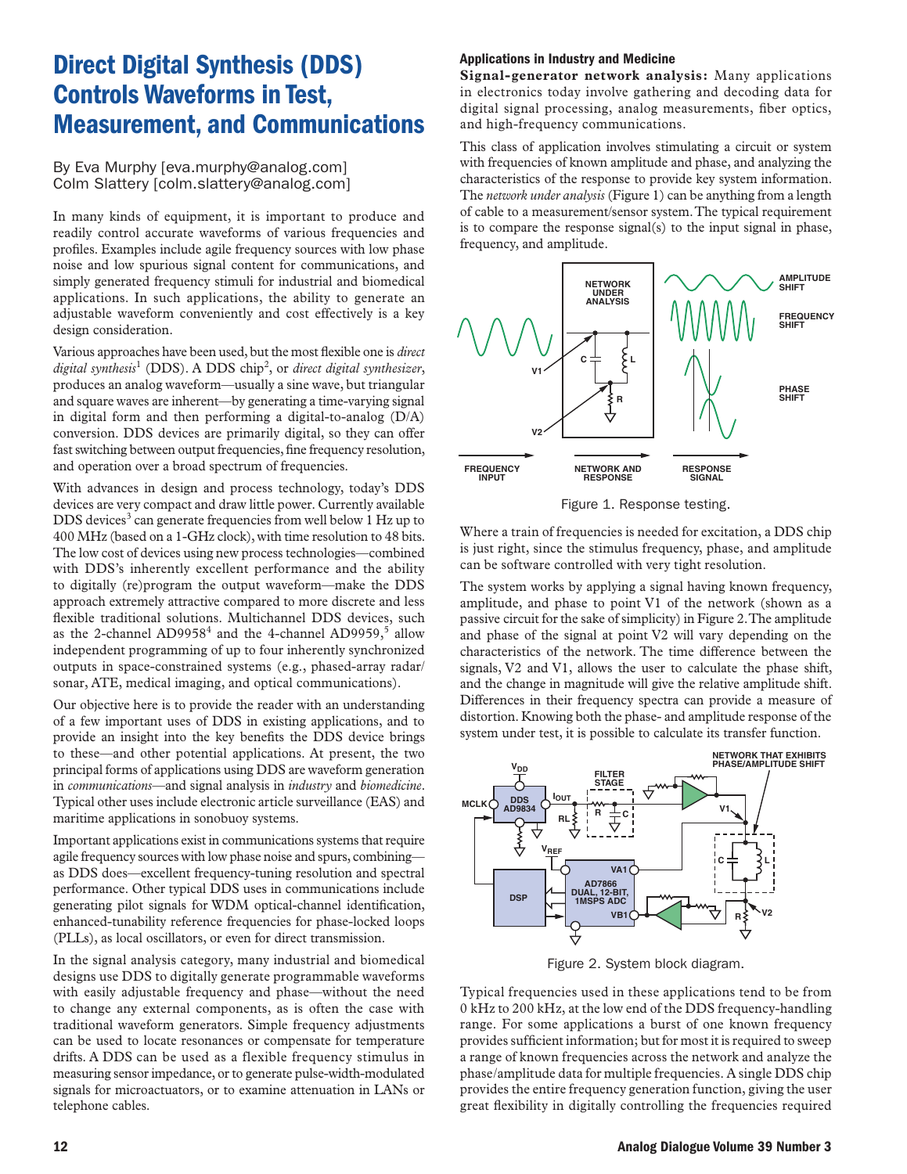# **Direct Digital Synthesis (DDS) Controls Waveforms in Test, Measurement, and Communications**

By Eva Murphy Jeva.murphy@analog.com1 Colm Slattery [colm.slattery@analog.com]

In many kinds of equipment, it is important to produce and readily control accurate waveforms of various frequencies and profiles. Examples include agile frequency sources with low phase noise and low spurious signal content for communications, and simply generated frequency stimuli for industrial and biomedical applications. In such applications, the ability to generate an adjustable waveform conveniently and cost effectively is a key design consideration.

Various approaches have been used, but the most flexible one is *direct* digital synthesis<sup>1</sup> (DDS). A DDS chip<sup>2</sup>, or direct digital synthesizer, produces an analog waveform—usually a sine wave, but triangular and square waves are inherent-by generating a time-varying signal in digital form and then performing a digital-to-analog (D/A) conversion. DDS devices are primarily digital, so they can offer fast switching between output frequencies, fine frequency resolution, and operation over a broad spectrum of frequencies.

With advances in design and process technology, today's DDS devices are very compact and draw little power. Currently available DDS devices<sup>3</sup> can generate frequencies from well below 1 Hz up to 400 MHz (based on a 1-GHz clock), with time resolution to 48 bits. The low cost of devices using new process technologies—combined with DDS's inherently excellent performance and the ability to digitally (re)program the output waveform—make the DDS approach extremely attractive compared to more discrete and less flexible traditional solutions. Multichannel DDS devices, such as the 2-channel AD9958<sup>4</sup> and the 4-channel AD9959,<sup>5</sup> allow independent programming of up to four inherently synchronized outputs in space-constrained systems (e.g., phased-array radar/ sonar, ATE, medical imaging, and optical communications).

Our objective here is to provide the reader with an understanding of a few important uses of DDS in existing applications, and to provide an insight into the key benefits the DDS device brings to these—and other potential applications. At present, the two principal forms of applications using DDS are waveform generation in *communications*—and signal analysis in *industry* and *biomedicine*. Typical other uses include electronic article surveillance (EAS) and maritime applications in sonobuoy systems.

Important applications exist in communications systems that require agile frequency sources with low phase noise and spurs, combiningas DDS does—excellent frequency-tuning resolution and spectral performance. Other typical DDS uses in communications include generating pilot signals for WDM optical-channel identification, enhanced-tunability reference frequencies for phase-locked loops (PLLs), as local oscillators, or even for direct transmission.

In the signal analysis category, many industrial and biomedical designs use DDS to digitally generate programmable waveforms with easily adjustable frequency and phase-without the need to change any external components, as is often the case with traditional waveform generators. Simple frequency adjustments can be used to locate resonances or compensate for temperature drifts. A DDS can be used as a flexible frequency stimulus in measuring sensor impedance, or to generate pulse-width-modulated signals for microactuators, or to examine attenuation in LANs or telephone cables.

# **Applications in Industry and Medicine**

Signal-generator network analysis: Many applications in electronics today involve gathering and decoding data for digital signal processing, analog measurements, fiber optics, and high-frequency communications.

This class of application involves stimulating a circuit or system with frequencies of known amplitude and phase, and analyzing the characteristics of the response to provide key system information. The network under analysis (Figure 1) can be anything from a length of cable to a measurement/sensor system. The typical requirement is to compare the response signal(s) to the input signal in phase, frequency, and amplitude.



Figure 1. Response testing.

Where a train of frequencies is needed for excitation, a DDS chip is just right, since the stimulus frequency, phase, and amplitude can be software controlled with very tight resolution.

The system works by applying a signal having known frequency, amplitude, and phase to point V1 of the network (shown as a passive circuit for the sake of simplicity) in Figure 2. The amplitude and phase of the signal at point V2 will vary depending on the characteristics of the network. The time difference between the signals, V2 and V1, allows the user to calculate the phase shift, and the change in magnitude will give the relative amplitude shift. Differences in their frequency spectra can provide a measure of distortion. Knowing both the phase- and amplitude response of the system under test, it is possible to calculate its transfer function.



Figure 2. System block diagram.

Typical frequencies used in these applications tend to be from 0 kHz to 200 kHz, at the low end of the DDS frequency-handling range. For some applications a burst of one known frequency provides sufficient information; but for most it is required to sweep a range of known frequencies across the network and analyze the phase/amplitude data for multiple frequencies. A single DDS chip provides the entire frequency generation function, giving the user great flexibility in digitally controlling the frequencies required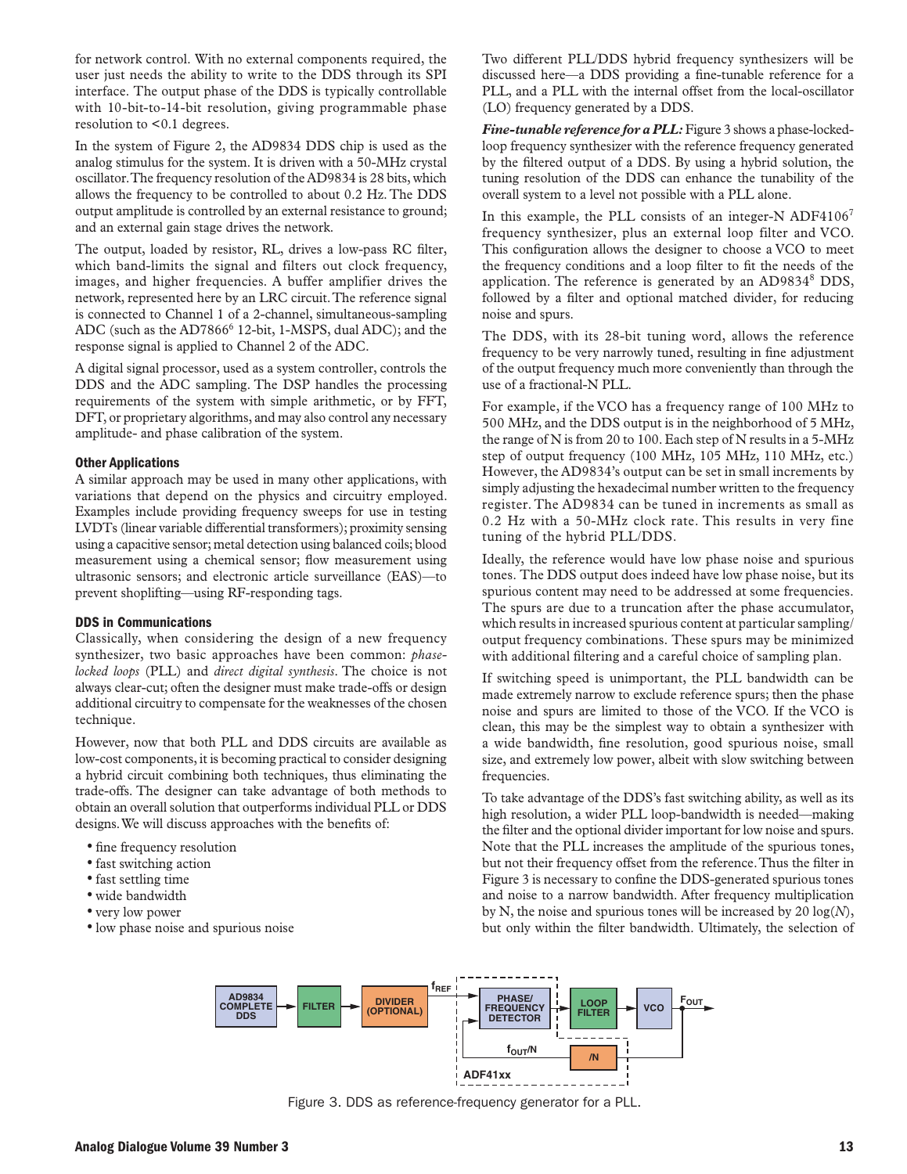for network control. With no external components required, the user just needs the ability to write to the DDS through its SPI interface. The output phase of the DDS is typically controllable with 10-bit-to-14-bit resolution, giving programmable phase resolution to <0.1 degrees.

In the system of Figure 2, the AD9834 DDS chip is used as the analog stimulus for the system. It is driven with a 50-MHz crystal oscillator. The frequency resolution of the AD9834 is 28 bits, which allows the frequency to be controlled to about 0.2 Hz. The DDS output amplitude is controlled by an external resistance to ground; and an external gain stage drives the network.

The output, loaded by resistor, RL, drives a low-pass RC filter, which band-limits the signal and filters out clock frequency, images, and higher frequencies. A buffer amplifier drives the network, represented here by an LRC circuit. The reference signal is connected to Channel 1 of a 2-channel, simultaneous-sampling ADC (such as the AD7866<sup>6</sup> 12-bit, 1-MSPS, dual ADC); and the response signal is applied to Channel 2 of the ADC.

A digital signal processor, used as a system controller, controls the DDS and the ADC sampling. The DSP handles the processing requirements of the system with simple arithmetic, or by FFT, DFT, or proprietary algorithms, and may also control any necessary amplitude- and phase calibration of the system.

## Other Applications

A similar approach may be used in many other applications, with variations that depend on the physics and circuitry employed. Examples include providing frequency sweeps for use in testing LVDTs (linear variable differential transformers); proximity sensing using a capacitive sensor; metal detection using balanced coils; blood measurement using a chemical sensor; flow measurement using ultrasonic sensors; and electronic article surveillance (EAS)—to prevent shoplifting—using RF-responding tags.

#### DDS in Communications

Classically, when considering the design of a new frequency synthesizer, two basic approaches have been common: *phaselocked loops* (PLL) and *direct digital synthesis*. The choice is not always clear-cut; often the designer must make trade-offs or design additional circuitry to compensate for the weaknesses of the chosen technique.

However, now that both PLL and DDS circuits are available as low-cost components, it is becoming practical to consider designing a hybrid circuit combining both techniques, thus eliminating the trade-offs. The designer can take advantage of both methods to obtain an overall solution that outperforms individual PLL or DDS designs. We will discuss approaches with the benefits of:

- fine frequency resolution
- fast switching action
- fast settling time
- wide bandwidth
- very low power
- low phase noise and spurious noise

Two different PLL/DDS hybrid frequency synthesizers will be discussed here—a DDS providing a fine-tunable reference for a PLL, and a PLL with the internal offset from the local-oscillator (LO) frequency generated by a DDS.

*Fine-tunable reference for a PLL:* Figure 3 shows a phase-lockedloop frequency synthesizer with the reference frequency generated by the filtered output of a DDS. By using a hybrid solution, the tuning resolution of the DDS can enhance the tunability of the overall system to a level not possible with a PLL alone.

In this example, the PLL consists of an integer-N ADF4106<sup>7</sup> frequency synthesizer, plus an external loop filter and VCO. This configuration allows the designer to choose a VCO to meet the frequency conditions and a loop filter to fit the needs of the application. The reference is generated by an AD9834 $8$  DDS, followed by a filter and optional matched divider, for reducing noise and spurs.

The DDS, with its 28-bit tuning word, allows the reference frequency to be very narrowly tuned, resulting in fine adjustment of the output frequency much more conveniently than through the use of a fractional-N PLL.

For example, if the VCO has a frequency range of 100 MHz to 500 MHz, and the DDS output is in the neighborhood of 5 MHz, the range of N is from 20 to 100. Each step of N results in a 5-MHz step of output frequency (100 MHz, 105 MHz, 110 MHz, etc.) However, the AD9834's output can be set in small increments by simply adjusting the hexadecimal number written to the frequency register. The AD9834 can be tuned in increments as small as 0.2 Hz with a 50-MHz clock rate. This results in very fine tuning of the hybrid PLL/DDS.

Ideally, the reference would have low phase noise and spurious tones. The DDS output does indeed have low phase noise, but its spurious content may need to be addressed at some frequencies. The spurs are due to a truncation after the phase accumulator, which results in increased spurious content at particular sampling/ output frequency combinations. These spurs may be minimized with additional filtering and a careful choice of sampling plan.

If switching speed is unimportant, the PLL bandwidth can be made extremely narrow to exclude reference spurs; then the phase noise and spurs are limited to those of the VCO. If the VCO is clean, this may be the simplest way to obtain a synthesizer with a wide bandwidth, fine resolution, good spurious noise, small size, and extremely low power, albeit with slow switching between frequencies.

To take advantage of the DDS's fast switching ability, as well as its high resolution, a wider PLL loop-bandwidth is needed—making the filter and the optional divider important for low noise and spurs. Note that the PLL increases the amplitude of the spurious tones, but not their frequency offset from the reference. Thus the filter in Figure 3 is necessary to confine the DDS-generated spurious tones and noise to a narrow bandwidth. After frequency multiplication by N, the noise and spurious tones will be increased by 20 log(*N*), but only within the filter bandwidth. Ultimately, the selection of



Figure 3. DDS as reference-frequency generator for a PLL.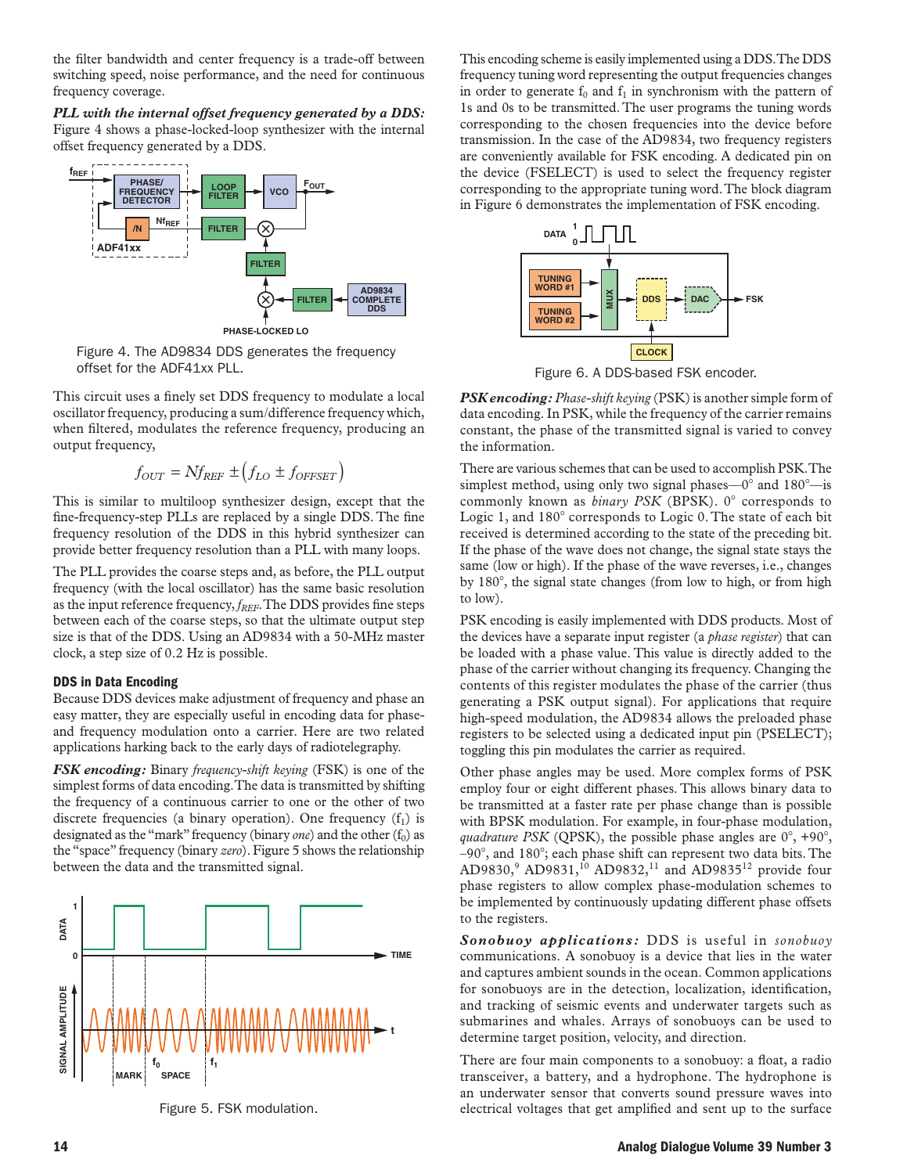the filter bandwidth and center frequency is a trade-off between switching speed, noise performance, and the need for continuous frequency coverage.

PLL with the internal offset frequency generated by a DDS: Figure 4 shows a phase-locked-loop synthesizer with the internal offset frequency generated by a DDS.



Figure 4. The AD9834 DDS generates the frequency offset for the ADF41xx PLL.

This circuit uses a finely set DDS frequency to modulate a local oscillator frequency, producing a sum/difference frequency which, when filtered, modulates the reference frequency, producing an output frequency,

$$
f_{OUT} = Nf_{REF} \pm (f_{LO} \pm f_{OFFSET})
$$

This is similar to multiloop synthesizer design, except that the fine-frequency-step PLLs are replaced by a single DDS. The fine frequency resolution of the DDS in this hybrid synthesizer can provide better frequency resolution than a PLL with many loops.

The PLL provides the coarse steps and, as before, the PLL output frequency (with the local oscillator) has the same basic resolution as the input reference frequency,  $f_{REF}$ . The DDS provides fine steps between each of the coarse steps, so that the ultimate output step size is that of the DDS. Using an AD9834 with a 50-MHz master clock, a step size of 0.2 Hz is possible.

## **DDS in Data Encoding**

Because DDS devices make adjustment of frequency and phase an easy matter, they are especially useful in encoding data for phaseand frequency modulation onto a carrier. Here are two related applications harking back to the early days of radiotelegraphy.

FSK encoding: Binary frequency-shift keying (FSK) is one of the simplest forms of data encoding. The data is transmitted by shifting the frequency of a continuous carrier to one or the other of two discrete frequencies (a binary operation). One frequency  $(f_1)$  is designated as the "mark" frequency (binary *one*) and the other  $(f_0)$  as the "space" frequency (binary zero). Figure 5 shows the relationship between the data and the transmitted signal.



Figure 5. FSK modulation.

This encoding scheme is easily implemented using a DDS. The DDS frequency tuning word representing the output frequencies changes in order to generate  $f_0$  and  $f_1$  in synchronism with the pattern of 1s and 0s to be transmitted. The user programs the tuning words corresponding to the chosen frequencies into the device before transmission. In the case of the AD9834, two frequency registers are conveniently available for FSK encoding. A dedicated pin on the device (FSELECT) is used to select the frequency register corresponding to the appropriate tuning word. The block diagram in Figure 6 demonstrates the implementation of FSK encoding.



Figure 6. A DDS-based FSK encoder.

PSK encoding: Phase-shift keying (PSK) is another simple form of data encoding. In PSK, while the frequency of the carrier remains constant, the phase of the transmitted signal is varied to convey the information.

There are various schemes that can be used to accomplish PSK. The simplest method, using only two signal phases— $0^{\circ}$  and  $180^{\circ}$ —is commonly known as binary PSK (BPSK). 0° corresponds to Logic 1, and 180° corresponds to Logic 0. The state of each bit received is determined according to the state of the preceding bit. If the phase of the wave does not change, the signal state stays the same (low or high). If the phase of the wave reverses, *i.e.*, changes by 180°, the signal state changes (from low to high, or from high to low).

PSK encoding is easily implemented with DDS products. Most of the devices have a separate input register (a *phase register*) that can be loaded with a phase value. This value is directly added to the phase of the carrier without changing its frequency. Changing the contents of this register modulates the phase of the carrier (thus generating a PSK output signal). For applications that require high-speed modulation, the AD9834 allows the preloaded phase registers to be selected using a dedicated input pin (PSELECT); toggling this pin modulates the carrier as required.

Other phase angles may be used. More complex forms of PSK employ four or eight different phases. This allows binary data to be transmitted at a faster rate per phase change than is possible with BPSK modulation. For example, in four-phase modulation, quadrature PSK (QPSK), the possible phase angles are  $0^{\circ}$ , +90 $^{\circ}$ ,  $-90^\circ$ , and 180 $^\circ$ ; each phase shift can represent two data bits. The AD9830,<sup>9</sup> AD9831,<sup>10</sup> AD9832,<sup>11</sup> and AD9835<sup>12</sup> provide four phase registers to allow complex phase-modulation schemes to be implemented by continuously updating different phase offsets to the registers.

Sonobuoy applications: DDS is useful in sonobuoy communications. A sonobuoy is a device that lies in the water and captures ambient sounds in the ocean. Common applications for sonobuoys are in the detection, localization, identification, and tracking of seismic events and underwater targets such as submarines and whales. Arrays of sonobuoys can be used to determine target position, velocity, and direction.

There are four main components to a sonobuoy: a float, a radio transceiver, a battery, and a hydrophone. The hydrophone is an underwater sensor that converts sound pressure waves into electrical voltages that get amplified and sent up to the surface